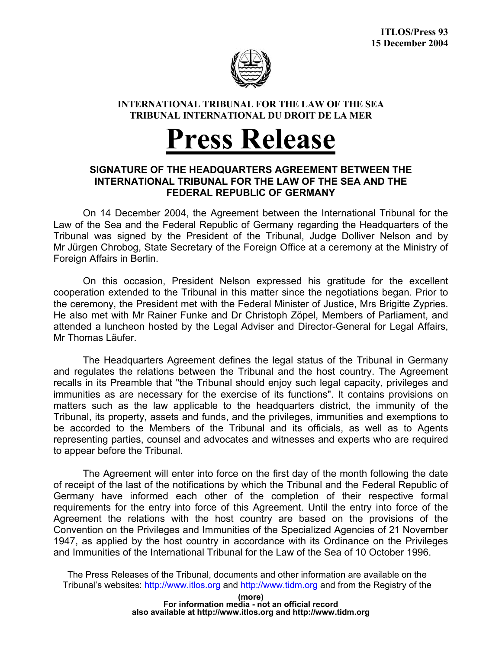

## **INTERNATIONAL TRIBUNAL FOR THE LAW OF THE SEA TRIBUNAL INTERNATIONAL DU DROIT DE LA MER**

## **Press Release**

## **SIGNATURE OF THE HEADQUARTERS AGREEMENT BETWEEN THE INTERNATIONAL TRIBUNAL FOR THE LAW OF THE SEA AND THE FEDERAL REPUBLIC OF GERMANY**

 On 14 December 2004, the Agreement between the International Tribunal for the Law of the Sea and the Federal Republic of Germany regarding the Headquarters of the Tribunal was signed by the President of the Tribunal, Judge Dolliver Nelson and by Mr Jürgen Chrobog, State Secretary of the Foreign Office at a ceremony at the Ministry of Foreign Affairs in Berlin.

 On this occasion, President Nelson expressed his gratitude for the excellent cooperation extended to the Tribunal in this matter since the negotiations began. Prior to the ceremony, the President met with the Federal Minister of Justice, Mrs Brigitte Zypries. He also met with Mr Rainer Funke and Dr Christoph Zöpel, Members of Parliament, and attended a luncheon hosted by the Legal Adviser and Director-General for Legal Affairs, Mr Thomas Läufer.

 The Headquarters Agreement defines the legal status of the Tribunal in Germany and regulates the relations between the Tribunal and the host country. The Agreement recalls in its Preamble that "the Tribunal should enjoy such legal capacity, privileges and immunities as are necessary for the exercise of its functions". It contains provisions on matters such as the law applicable to the headquarters district, the immunity of the Tribunal, its property, assets and funds, and the privileges, immunities and exemptions to be accorded to the Members of the Tribunal and its officials, as well as to Agents representing parties, counsel and advocates and witnesses and experts who are required to appear before the Tribunal.

 The Agreement will enter into force on the first day of the month following the date of receipt of the last of the notifications by which the Tribunal and the Federal Republic of Germany have informed each other of the completion of their respective formal requirements for the entry into force of this Agreement. Until the entry into force of the Agreement the relations with the host country are based on the provisions of the Convention on the Privileges and Immunities of the Specialized Agencies of 21 November 1947, as applied by the host country in accordance with its Ordinance on the Privileges and Immunities of the International Tribunal for the Law of the Sea of 10 October 1996.

The Press Releases of the Tribunal, documents and other information are available on the Tribunal's websites: http://www.itlos.org and http://www.tidm.org and from the Registry of the